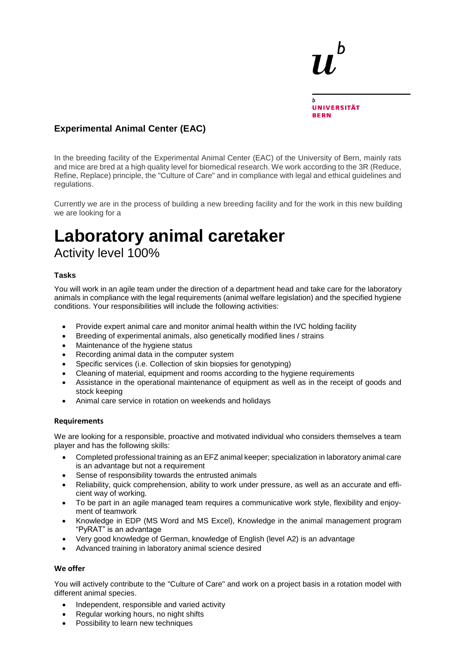

## **Experimental Animal Center (EAC)**

In the breeding facility of the Experimental Animal Center (EAC) of the University of Bern, mainly rats and mice are bred at a high quality level for biomedical research. We work according to the 3R (Reduce, Refine, Replace) principle, the "Culture of Care" and in compliance with legal and ethical guidelines and regulations.

Currently we are in the process of building a new breeding facility and for the work in this new building we are looking for a

# **Laboratory animal caretaker** Activity level 100%

### **Tasks**

You will work in an agile team under the direction of a department head and take care for the laboratory animals in compliance with the legal requirements (animal welfare legislation) and the specified hygiene conditions. Your responsibilities will include the following activities:

- Provide expert animal care and monitor animal health within the IVC holding facility
- Breeding of experimental animals, also genetically modified lines / strains
- Maintenance of the hygiene status
- Recording animal data in the computer system
- Specific services (i.e. Collection of skin biopsies for genotyping)
- Cleaning of material, equipment and rooms according to the hygiene requirements
- Assistance in the operational maintenance of equipment as well as in the receipt of goods and stock keeping
- Animal care service in rotation on weekends and holidays

### **Requirements**

We are looking for a responsible, proactive and motivated individual who considers themselves a team player and has the following skills:

- Completed professional training as an EFZ animal keeper; specialization in laboratory animal care is an advantage but not a requirement
- Sense of responsibility towards the entrusted animals
- Reliability, quick comprehension, ability to work under pressure, as well as an accurate and efficient way of working.
- To be part in an agile managed team requires a communicative work style, flexibility and enjoyment of teamwork
- Knowledge in EDP (MS Word and MS Excel), Knowledge in the animal management program "PyRAT" is an advantage
- Very good knowledge of German, knowledge of English (level A2) is an advantage
- Advanced training in laboratory animal science desired

### **We offer**

You will actively contribute to the "Culture of Care" and work on a project basis in a rotation model with different animal species.

- Independent, responsible and varied activity
- Regular working hours, no night shifts
- Possibility to learn new techniques